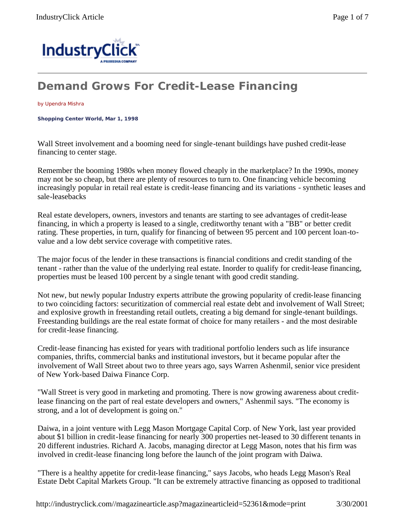

## **Demand Grows For Credit-Lease Financing**

## by Upendra Mishra

**Shopping Center World, Mar 1, 1998** 

Wall Street involvement and a booming need for single-tenant buildings have pushed credit-lease financing to center stage.

Remember the booming 1980s when money flowed cheaply in the marketplace? In the 1990s, money may not be so cheap, but there are plenty of resources to turn to. One financing vehicle becoming increasingly popular in retail real estate is credit-lease financing and its variations - synthetic leases and sale-leasebacks

Real estate developers, owners, investors and tenants are starting to see advantages of credit-lease financing, in which a property is leased to a single, creditworthy tenant with a "BB" or better credit rating. These properties, in turn, qualify for financing of between 95 percent and 100 percent loan-tovalue and a low debt service coverage with competitive rates.

The major focus of the lender in these transactions is financial conditions and credit standing of the tenant - rather than the value of the underlying real estate. Inorder to qualify for credit-lease financing, properties must be leased 100 percent by a single tenant with good credit standing.

Not new, but newly popular Industry experts attribute the growing popularity of credit-lease financing to two coinciding factors: securitization of commercial real estate debt and involvement of Wall Street; and explosive growth in freestanding retail outlets, creating a big demand for single-tenant buildings. Freestanding buildings are the real estate format of choice for many retailers - and the most desirable for credit-lease financing.

Credit-lease financing has existed for years with traditional portfolio lenders such as life insurance companies, thrifts, commercial banks and institutional investors, but it became popular after the involvement of Wall Street about two to three years ago, says Warren Ashenmil, senior vice president of New York-based Daiwa Finance Corp.

"Wall Street is very good in marketing and promoting. There is now growing awareness about creditlease financing on the part of real estate developers and owners," Ashenmil says. "The economy is strong, and a lot of development is going on."

Daiwa, in a joint venture with Legg Mason Mortgage Capital Corp. of New York, last year provided about \$1 billion in credit-lease financing for nearly 300 properties net-leased to 30 different tenants in 20 different industries. Richard A. Jacobs, managing director at Legg Mason, notes that his firm was involved in credit-lease financing long before the launch of the joint program with Daiwa.

"There is a healthy appetite for credit-lease financing," says Jacobs, who heads Legg Mason's Real Estate Debt Capital Markets Group. "It can be extremely attractive financing as opposed to traditional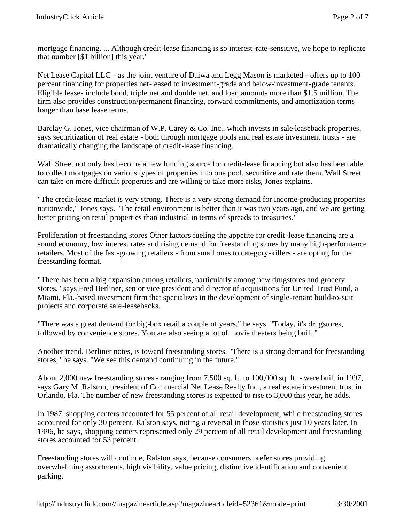mortgage financing. ... Although credit-lease financing is so interest-rate-sensitive, we hope to replicate that number [\$1 billion] this year."

Net Lease Capital LLC - as the joint venture of Daiwa and Legg Mason is marketed - offers up to 100 percent financing for properties net-leased to investment-grade and below-investment-grade tenants. Eligible leases include bond, triple net and double net, and loan amounts more than \$1.5 million. The firm also provides construction/permanent financing, forward commitments, and amortization terms longer than base lease terms.

Barclay G. Jones, vice chairman of W.P. Carey & Co. Inc., which invests in sale-leaseback properties, says securitization of real estate - both through mortgage pools and real estate investment trusts - are dramatically changing the landscape of credit-lease financing.

Wall Street not only has become a new funding source for credit-lease financing but also has been able to collect mortgages on various types of properties into one pool, securitize and rate them. Wall Street can take on more difficult properties and are willing to take more risks, Jones explains.

"The credit-lease market is very strong. There is a very strong demand for income-producing properties nationwide," Jones says. "The retail environment is better than it was two years ago, and we are getting better pricing on retail properties than industrial in terms of spreads to treasuries."

Proliferation of freestanding stores Other factors fueling the appetite for credit-lease financing are a sound economy, low interest rates and rising demand for freestanding stores by many high-performance retailers. Most of the fast-growing retailers - from small ones to category-killers - are opting for the freestanding format.

"There has been a big expansion among retailers, particularly among new drugstores and grocery stores," says Fred Berliner, senior vice president and director of acquisitions for United Trust Fund, a Miami, Fla.-based investment firm that specializes in the development of single-tenant build-to-suit projects and corporate sale-leasebacks.

"There was a great demand for big-box retail a couple of years," he says. "Today, it's drugstores, followed by convenience stores. You are also seeing a lot of movie theaters being built."

Another trend, Berliner notes, is toward freestanding stores. "There is a strong demand for freestanding stores," he says. "We see this demand continuing in the future."

About 2,000 new freestanding stores - ranging from 7,500 sq. ft. to 100,000 sq. ft. - were built in 1997, says Gary M. Ralston, president of Commercial Net Lease Realty Inc., a real estate investment trust in Orlando, Fla. The number of new freestanding stores is expected to rise to 3,000 this year, he adds.

In 1987, shopping centers accounted for 55 percent of all retail development, while freestanding stores accounted for only 30 percent, Ralston says, noting a reversal in those statistics just 10 years later. In 1996, he says, shopping centers represented only 29 percent of all retail development and freestanding stores accounted for 53 percent.

Freestanding stores will continue, Ralston says, because consumers prefer stores providing overwhelming assortments, high visibility, value pricing, distinctive identification and convenient parking.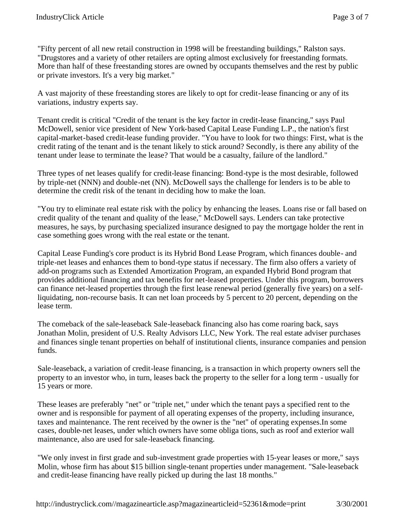"Fifty percent of all new retail construction in 1998 will be freestanding buildings," Ralston says. "Drugstores and a variety of other retailers are opting almost exclusively for freestanding formats. More than half of these freestanding stores are owned by occupants themselves and the rest by public or private investors. It's a very big market."

A vast majority of these freestanding stores are likely to opt for credit-lease financing or any of its variations, industry experts say.

Tenant credit is critical "Credit of the tenant is the key factor in credit-lease financing," says Paul McDowell, senior vice president of New York-based Capital Lease Funding L.P., the nation's first capital-market-based credit-lease funding provider. "You have to look for two things: First, what is the credit rating of the tenant and is the tenant likely to stick around? Secondly, is there any ability of the tenant under lease to terminate the lease? That would be a casualty, failure of the landlord."

Three types of net leases qualify for credit-lease financing: Bond-type is the most desirable, followed by triple-net (NNN) and double-net (NN). McDowell says the challenge for lenders is to be able to determine the credit risk of the tenant in deciding how to make the loan.

"You try to eliminate real estate risk with the policy by enhancing the leases. Loans rise or fall based on credit quality of the tenant and quality of the lease," McDowell says. Lenders can take protective measures, he says, by purchasing specialized insurance designed to pay the mortgage holder the rent in case something goes wrong with the real estate or the tenant.

Capital Lease Funding's core product is its Hybrid Bond Lease Program, which finances double- and triple-net leases and enhances them to bond-type status if necessary. The firm also offers a variety of add-on programs such as Extended Amortization Program, an expanded Hybrid Bond program that provides additional financing and tax benefits for net-leased properties. Under this program, borrowers can finance net-leased properties through the first lease renewal period (generally five years) on a selfliquidating, non-recourse basis. It can net loan proceeds by 5 percent to 20 percent, depending on the lease term.

The comeback of the sale-leaseback Sale-leaseback financing also has come roaring back, says Jonathan Molin, president of U.S. Realty Advisors LLC, New York. The real estate adviser purchases and finances single tenant properties on behalf of institutional clients, insurance companies and pension funds.

Sale-leaseback, a variation of credit-lease financing, is a transaction in which property owners sell the property to an investor who, in turn, leases back the property to the seller for a long term - usually for 15 years or more.

These leases are preferably "net" or "triple net," under which the tenant pays a specified rent to the owner and is responsible for payment of all operating expenses of the property, including insurance, taxes and maintenance. The rent received by the owner is the "net" of operating expenses.In some cases, double-net leases, under which owners have some obliga tions, such as roof and exterior wall maintenance, also are used for sale-leaseback financing.

"We only invest in first grade and sub-investment grade properties with 15-year leases or more," says Molin, whose firm has about \$15 billion single-tenant properties under management. "Sale-leaseback and credit-lease financing have really picked up during the last 18 months."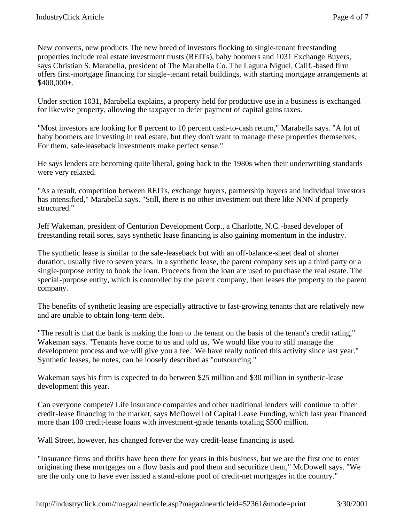New converts, new products The new breed of investors flocking to single-tenant freestanding properties include real estate investment trusts (REITs), baby boomers and 1031 Exchange Buyers, says Christian S. Marabella, president of The Marabella Co. The Laguna Niguel, Calif.-based firm offers first-mortgage financing for single-tenant retail buildings, with starting mortgage arrangements at \$400,000+.

Under section 1031, Marabella explains, a property held for productive use in a business is exchanged for likewise property, allowing the taxpayer to defer payment of capital gains taxes.

"Most investors are looking for 8 percent to 10 percent cash-to-cash return," Marabella says. "A lot of baby boomers are investing in real estate, but they don't want to manage these properties themselves. For them, sale-leaseback investments make perfect sense."

He says lenders are becoming quite liberal, going back to the 1980s when their underwriting standards were very relaxed.

"As a result, competition between REITs, exchange buyers, partnership buyers and individual investors has intensified," Marabella says. "Still, there is no other investment out there like NNN if properly structured."

Jeff Wakeman, president of Centurion Development Corp., a Charlotte, N.C.-based developer of freestanding retail sores, says synthetic lease financing is also gaining momentum in the industry.

The synthetic lease is similar to the sale-leaseback but with an off-balance-sheet deal of shorter duration, usually five to seven years. In a synthetic lease, the parent company sets up a third party or a single-purpose entity to book the loan. Proceeds from the loan are used to purchase the real estate. The special-purpose entity, which is controlled by the parent company, then leases the property to the parent company.

The benefits of synthetic leasing are especially attractive to fast-growing tenants that are relatively new and are unable to obtain long-term debt.

"The result is that the bank is making the loan to the tenant on the basis of the tenant's credit rating," Wakeman says. "Tenants have come to us and told us, 'We would like you to still manage the development process and we will give you a fee.' We have really noticed this activity since last year." Synthetic leases, he notes, can be loosely described as "outsourcing."

Wakeman says his firm is expected to do between \$25 million and \$30 million in synthetic-lease development this year.

Can everyone compete? Life insurance companies and other traditional lenders will continue to offer credit-lease financing in the market, says McDowell of Capital Lease Funding, which last year financed more than 100 credit-lease loans with investment-grade tenants totaling \$500 million.

Wall Street, however, has changed forever the way credit-lease financing is used.

"Insurance firms and thrifts have been there for years in this business, but we are the first one to enter originating these mortgages on a flow basis and pool them and securitize them," McDowell says. "We are the only one to have ever issued a stand-alone pool of credit-net mortgages in the country."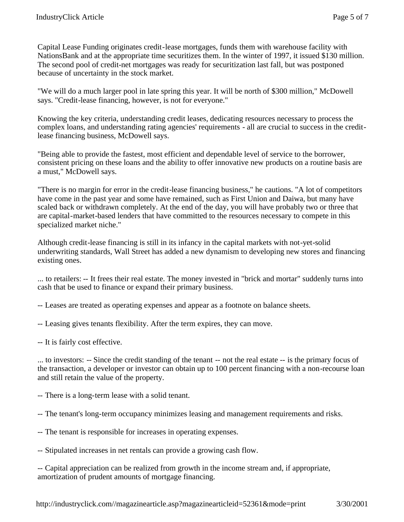Capital Lease Funding originates credit-lease mortgages, funds them with warehouse facility with NationsBank and at the appropriate time securitizes them. In the winter of 1997, it issued \$130 million. The second pool of credit-net mortgages was ready for securitization last fall, but was postponed because of uncertainty in the stock market.

"We will do a much larger pool in late spring this year. It will be north of \$300 million," McDowell says. "Credit-lease financing, however, is not for everyone."

Knowing the key criteria, understanding credit leases, dedicating resources necessary to process the complex loans, and understanding rating agencies' requirements - all are crucial to success in the creditlease financing business, McDowell says.

"Being able to provide the fastest, most efficient and dependable level of service to the borrower, consistent pricing on these loans and the ability to offer innovative new products on a routine basis are a must," McDowell says.

"There is no margin for error in the credit-lease financing business," he cautions. "A lot of competitors have come in the past year and some have remained, such as First Union and Daiwa, but many have scaled back or withdrawn completely. At the end of the day, you will have probably two or three that are capital-market-based lenders that have committed to the resources necessary to compete in this specialized market niche."

Although credit-lease financing is still in its infancy in the capital markets with not-yet-solid underwriting standards, Wall Street has added a new dynamism to developing new stores and financing existing ones.

... to retailers: -- It frees their real estate. The money invested in "brick and mortar" suddenly turns into cash that be used to finance or expand their primary business.

-- Leases are treated as operating expenses and appear as a footnote on balance sheets.

-- Leasing gives tenants flexibility. After the term expires, they can move.

-- It is fairly cost effective.

... to investors: -- Since the credit standing of the tenant -- not the real estate -- is the primary focus of the transaction, a developer or investor can obtain up to 100 percent financing with a non-recourse loan and still retain the value of the property.

-- There is a long-term lease with a solid tenant.

-- The tenant's long-term occupancy minimizes leasing and management requirements and risks.

-- The tenant is responsible for increases in operating expenses.

-- Stipulated increases in net rentals can provide a growing cash flow.

-- Capital appreciation can be realized from growth in the income stream and, if appropriate, amortization of prudent amounts of mortgage financing.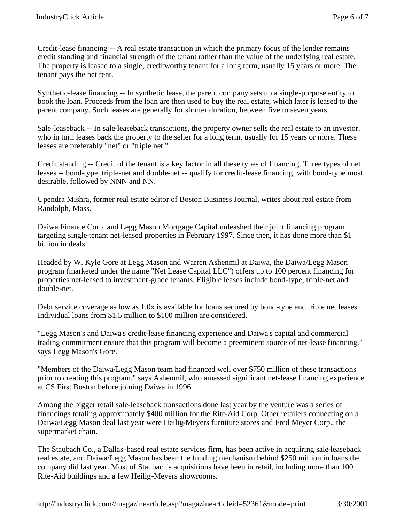Credit-lease financing -- A real estate transaction in which the primary focus of the lender remains credit standing and financial strength of the tenant rather than the value of the underlying real estate. The property is leased to a single, creditworthy tenant for a long term, usually 15 years or more. The tenant pays the net rent.

Synthetic-lease financing -- In synthetic lease, the parent company sets up a single-purpose entity to book the loan. Proceeds from the loan are then used to buy the real estate, which later is leased to the parent company. Such leases are generally for shorter duration, between five to seven years.

Sale-leaseback -- In sale-leaseback transactions, the property owner sells the real estate to an investor, who in turn leases back the property to the seller for a long term, usually for 15 years or more. These leases are preferably "net" or "triple net."

Credit standing -- Credit of the tenant is a key factor in all these types of financing. Three types of net leases -- bond-type, triple-net and double-net -- qualify for credit-lease financing, with bond-type most desirable, followed by NNN and NN.

Upendra Mishra, former real estate editor of Boston Business Journal, writes about real estate from Randolph, Mass.

Daiwa Finance Corp. and Legg Mason Mortgage Capital unleashed their joint financing program targeting single-tenant net-leased properties in February 1997. Since then, it has done more than \$1 billion in deals.

Headed by W. Kyle Gore at Legg Mason and Warren Ashenmil at Daiwa, the Daiwa/Legg Mason program (marketed under the name "Net Lease Capital LLC") offers up to 100 percent financing for properties net-leased to investment-grade tenants. Eligible leases include bond-type, triple-net and double-net.

Debt service coverage as low as 1.0x is available for loans secured by bond-type and triple net leases. Individual loans from \$1.5 million to \$100 million are considered.

"Legg Mason's and Daiwa's credit-lease financing experience and Daiwa's capital and commercial trading commitment ensure that this program will become a preeminent source of net-lease financing," says Legg Mason's Gore.

"Members of the Daiwa/Legg Mason team had financed well over \$750 million of these transactions prior to creating this program," says Ashenmil, who amassed significant net-lease financing experience at CS First Boston before joining Daiwa in 1996.

Among the bigger retail sale-leaseback transactions done last year by the venture was a series of financings totaling approximately \$400 million for the Rite-Aid Corp. Other retailers connecting on a Daiwa/Legg Mason deal last year were Heilig-Meyers furniture stores and Fred Meyer Corp., the supermarket chain.

The Staubach Co., a Dallas-based real estate services firm, has been active in acquiring sale-leaseback real estate, and Daiwa/Legg Mason has been the funding mechanism behind \$250 million in loans the company did last year. Most of Staubach's acquisitions have been in retail, including more than 100 Rite-Aid buildings and a few Heilig-Meyers showrooms.